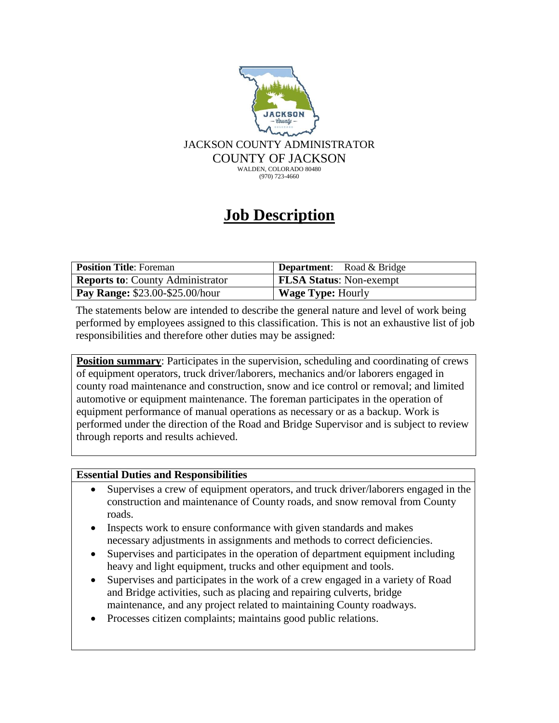

## **Job Description**

| <b>Position Title:</b> Foreman          | <b>Department:</b> Road $\&$ Bridge |
|-----------------------------------------|-------------------------------------|
| <b>Reports to: County Administrator</b> | <b>FLSA Status: Non-exempt</b>      |
| <b>Pay Range: \$23.00-\$25.00/hour</b>  | <b>Wage Type: Hourly</b>            |

The statements below are intended to describe the general nature and level of work being performed by employees assigned to this classification. This is not an exhaustive list of job responsibilities and therefore other duties may be assigned:

**Position summary**: Participates in the supervision, scheduling and coordinating of crews of equipment operators, truck driver/laborers, mechanics and/or laborers engaged in county road maintenance and construction, snow and ice control or removal; and limited automotive or equipment maintenance. The foreman participates in the operation of equipment performance of manual operations as necessary or as a backup. Work is performed under the direction of the Road and Bridge Supervisor and is subject to review through reports and results achieved.

## **Essential Duties and Responsibilities**

- Supervises a crew of equipment operators, and truck driver/laborers engaged in the construction and maintenance of County roads, and snow removal from County roads.
- Inspects work to ensure conformance with given standards and makes necessary adjustments in assignments and methods to correct deficiencies.
- Supervises and participates in the operation of department equipment including heavy and light equipment, trucks and other equipment and tools.
- Supervises and participates in the work of a crew engaged in a variety of Road and Bridge activities, such as placing and repairing culverts, bridge maintenance, and any project related to maintaining County roadways.
- Processes citizen complaints; maintains good public relations.